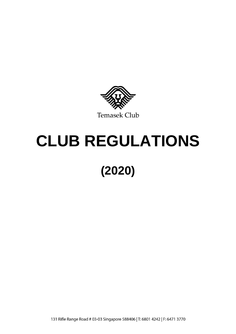

# **CLUB REGULATIONS (2020)**

131 Rifle Range Road # 03-03 Singapore 588406 | T: 6801 4242 | F: 6471 3770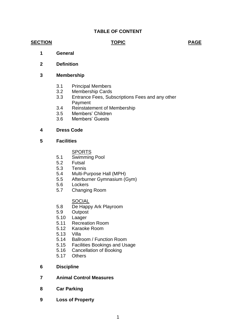# **TABLE OF CONTENT**

#### **SECTION TOPIC PAGE**

- **1 General**
- **2 Definition**

#### **3 Membership**

- 3.1 Principal Members
- 3.2 Membership Cards
- 3.3 Entrance Fees, Subscriptions Fees and any other Payment
- 3.4 Reinstatement of Membership
- 3.5 Members' Children
- 3.6 Members' Guests

#### **4 Dress Code**

**5 Facilities**

**SPORTS** 

- 5.1 Swimming Pool
- 5.2 Futsal
- 5.3 Tennis
- 5.4 Multi-Purpose Hall (MPH)
- 5.5 Afterburner Gymnasium (Gym)
- 5.6 Lockers
- 5.7 Changing Room

#### **SOCIAL**

- 5.8 De Happy Ark Playroom
- 5.9 Outpost
- 5.10 Laager
- 5.11 Recreation Room
- 5.12 Karaoke Room
- 5.13 Villa
- 5.14 Ballroom / Function Room
- 5.15 Facilities Bookings and Usage
- 5.16 Cancellation of Booking
- 5.17 Others
- **6 Discipline**
- **7 Animal Control Measures**
- **8 Car Parking**
- **9 Loss of Property**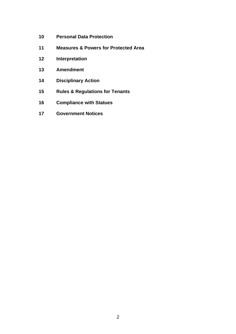- **Personal Data Protection**
- **Measures & Powers for Protected Area**
- **Interpretation**
- **Amendment**
- **Disciplinary Action**
- **Rules & Regulations for Tenants**
- **Compliance with Statues**
- **Government Notices**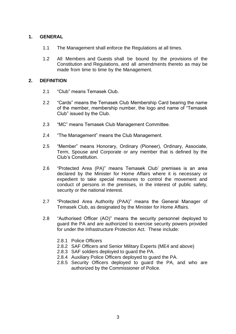# **1. GENERAL**

- 1.1 The Management shall enforce the Regulations at all times.
- 1.2 All Members and Guests shall be bound by the provisions of the Constitution and Regulations, and all amendments thereto as may be made from time to time by the Management.

#### **2. DEFINITION**

- 2.1 "Club" means Temasek Club.
- 2.2 "Cards" means the Temasek Club Membership Card bearing the name of the member, membership number, the logo and name of "Temasek Club" issued by the Club.
- 2.3 "MC" means Temasek Club Management Committee.
- 2.4 "The Management" means the Club Management.
- 2.5 "Member" means Honorary, Ordinary (Pioneer), Ordinary, Associate, Term, Spouse and Corporate or any member that is defined by the Club's Constitution.
- 2.6 "Protected Area (PA)" means Temasek Club' premises is an area declared by the Minister for Home Affairs where it is necessary or expedient to take special measures to control the movement and conduct of persons in the premises, in the interest of public safety, security or the national interest.
- 2.7 "Protected Area Authority (PAA)" means the General Manager of Temasek Club, as designated by the Minister for Home Affairs.
- 2.8 "Authorised Officer (AO)" means the security personnel deployed to guard the PA and are authorized to exercise security powers provided for under the Infrastructure Protection Act. These include:
	- 2.8.1 Police Officers
	- 2.8.2 SAF Officers and Senior Military Experts (ME4 and above)
	- 2.8.3 SAF soldiers deployed to guard the PA.
	- 2.8.4 Auxiliary Police Officers deployed to guard the PA.
	- 2.8.5 Security Officers deployed to guard the PA, and who are authorized by the Commissioner of Police.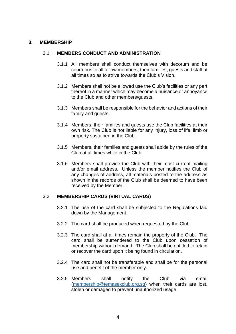#### **3. MEMBERSHIP**

#### 3.1 **MEMBERS CONDUCT AND ADMINISTRATION**

- 3.1.1 All members shall conduct themselves with decorum and be courteous to all fellow members, their families, guests and staff at all times so as to strive towards the Club's Vision.
- 3.1.2 Members shall not be allowed use the Club's facilities or any part thereof in a manner which may become a nuisance or annoyance to the Club and other members/guests.
- 3.1.3 Members shall be responsible for the behavior and actions of their family and guests.
- 3.1.4 Members, their families and guests use the Club facilities at their own risk. The Club is not liable for any injury, loss of life, limb or property sustained in the Club.
- 3.1.5 Members, their families and guests shall abide by the rules of the Club at all times while in the Club.
- 3.1.6 Members shall provide the Club with their most current mailing and/or email address. Unless the member notifies the Club of any changes of address, all materials posted to the address as shown in the records of the Club shall be deemed to have been received by the Member.

#### 3.2 **MEMBERSHIP CARDS (VIRTUAL CARDS)**

- 3.2.1 The use of the card shall be subjected to the Regulations laid down by the Management.
- 3.2.2 The card shall be produced when requested by the Club.
- 3.2.3 The card shall at all times remain the property of the Club. The card shall be surrendered to the Club upon cessation of membership without demand. The Club shall be entitled to retain or recover the card upon it being found in circulation.
- 3.2.4 The card shall not be transferable and shall be for the personal use and benefit of the member only.
- 3.2.5 Members shall notify the Club via email [\(membership@temasekclub.org.sg\)](mailto:membership@temasekclub.org.sg) when their cards are lost, stolen or damaged to prevent unauthorized usage.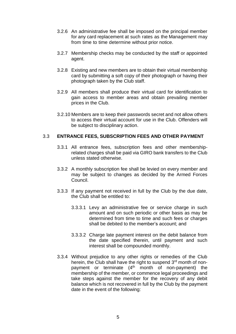- 3.2.6 An administrative fee shall be imposed on the principal member for any card replacement at such rates as the Management may from time to time determine without prior notice.
- 3.2.7 Membership checks may be conducted by the staff or appointed agent.
- 3.2.8 Existing and new members are to obtain their virtual membership card by submitting a soft copy of their photograph or having their photograph taken by the Club staff.
- 3.2.9 All members shall produce their virtual card for identification to gain access to member areas and obtain prevailing member prices in the Club.
- 3.2.10 Members are to keep their passwords secret and not allow others to access their virtual account for use in the Club. Offenders will be subject to disciplinary action.

#### 3.3 **ENTRANCE FEES, SUBSCRIPTION FEES AND OTHER PAYMENT**

- 3.3.1 All entrance fees, subscription fees and other membershiprelated charges shall be paid via GIRO bank transfers to the Club unless stated otherwise.
- 3.3.2 A monthly subscription fee shall be levied on every member and may be subject to changes as decided by the Armed Forces Council.
- 3.3.3 If any payment not received in full by the Club by the due date, the Club shall be entitled to:
	- 3.3.3.1 Levy an administrative fee or service charge in such amount and on such periodic or other basis as may be determined from time to time and such fees or charges shall be debited to the member's account; and
	- 3.3.3.2 Charge late payment interest on the debit balance from the date specified therein, until payment and such interest shall be compounded monthly.
- 3.3.4 Without prejudice to any other rights or remedies of the Club herein, the Club shall have the right to suspend 3<sup>rd</sup> month of nonpayment or terminate  $(4<sup>th</sup>$  month of non-payment) the membership of the member, or commence legal proceedings and take steps against the member for the recovery of any debit balance which is not recovered in full by the Club by the payment date in the event of the following: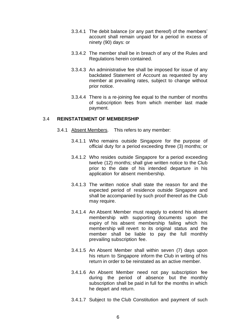- 3.3.4.1 The debit balance (or any part thereof) of the members' account shall remain unpaid for a period in excess of ninety (90) days: or
- 3.3.4.2 The member shall be in breach of any of the Rules and Regulations herein contained.
- 3.3.4.3 An administrative fee shall be imposed for issue of any backdated Statement of Account as requested by any member at prevailing rates, subject to change without prior notice.
- 3.3.4.4 There is a re-joining fee equal to the number of months of subscription fees from which member last made payment.

#### 3.4 **REINSTATEMENT OF MEMBERSHIP**

- 3.4.1 Absent Members. This refers to any member:
	- 3.4.1.1 Who remains outside Singapore for the purpose of official duty for a period exceeding three (3) months; or
	- 3.4.1.2 Who resides outside Singapore for a period exceeding twelve (12) months; shall give written notice to the Club prior to the date of his intended departure in his application for absent membership.
	- 3.4.1.3 The written notice shall state the reason for and the expected period of residence outside Singapore and shall be accompanied by such proof thereof as the Club may require.
	- 3.4.1.4 An Absent Member must reapply to extend his absent membership with supporting documents upon the expiry of his absent membership failing which his membership will revert to its original status and the member shall be liable to pay the full monthly prevailing subscription fee.
	- 3.4.1.5 An Absent Member shall within seven (7) days upon his return to Singapore inform the Club in writing of his return in order to be reinstated as an active member.
	- 3.4.1.6 An Absent Member need not pay subscription fee during the period of absence but the monthly subscription shall be paid in full for the months in which he depart and return.
	- 3.4.1.7 Subject to the Club Constitution and payment of such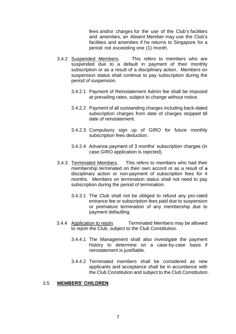fees and/or charges for the use of the Club's facilities and amenities, an Absent Member may use the Club's facilities and amenities if he returns to Singapore for a period not exceeding one (1) month.

- 3.4.2 Suspended Members. This refers to members who are suspended due to a default in payment of their monthly subscription or as a result of a disciplinary action. Members on suspension status shall continue to pay subscription during the period of suspension.
	- 3.4.2.1 Payment of Reinstatement Admin fee shall be imposed at prevailing rates, subject to change without notice.
	- 3.4.2.2 Payment of all outstanding charges including back-dated subscription charges from date of charges stopped till date of reinstatement.
	- 3.4.2.3 Compulsory sign up of GIRO for future monthly subscription fees deduction.
	- 3.4.2.4 Advance payment of 3 months' subscription charges (in case GIRO application is rejected).
- 3.4.3 Terminated Members. This refers to members who had their membership terminated on their own accord or as a result of a disciplinary action or non-payment of subscription fees for 4 months. Members on termination status shall not need to pay subscription during the period of termination.
	- 3.4.3.1 The Club shall not be obliged to refund any pro-rated entrance fee or subscription fees paid due to suspension or premature termination of any membership due to payment defaulting.
- 3.4.4 Application to rejoin. Terminated Members may be allowed to rejoin the Club, subject to the Club Constitution.
	- 3.4.4.1 The Management shall also investigate the payment history to determine on a case-by-case basis if reinstatement is justifiable.
	- 3.4.4.2 Terminated members shall be considered as new applicants and acceptance shall be in accordance with the Club Constitution and subject to the Club Constitution.

#### 3.5 **MEMBERS' CHILDREN**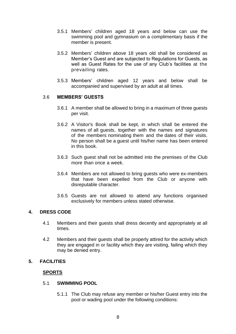- 3.5.1 Members' children aged 18 years and below can use the swimming pool and gymnasium on a complimentary basis if the member is present.
- 3.5.2 Members' children above 18 years old shall be considered as Member's Guest and are subjected to Regulations for Guests, as well as Guest Rates for the use of any Club's facilities at the prevailing rates.
- 3.5.3 Members' children aged 12 years and below shall be accompanied and supervised by an adult at all times.

#### 3.6 **MEMBERS' GUESTS**

- 3.6.1 A member shall be allowed to bring in a maximum of three guests per visit.
- 3.6.2 A Visitor's Book shall be kept, in which shall be entered the names of all quests, together with the names and signatures of the members nominating them and the dates of their visits. No person shall be a guest until his/her name has been entered in this book.
- 3.6.3 Such guest shall not be admitted into the premises of the Club more than once a week.
- 3.6.4 Members are not allowed to bring guests who were ex-members that have been expelled from the Club or anyone with disreputable character.
- 3.6.5 Guests are not allowed to attend any functions organised exclusively for members unless stated otherwise.

#### **4. DRESS CODE**

- 4.1 Members and their guests shall dress decently and appropriately at all times.
- 4.2 Members and their guests shall be properly attired for the activity which they are engaged in or facility which they are visiting, failing which they may be denied entry.

#### **5. FACILITIES**

## **SPORTS**

#### 5.1 **SWIMMING POOL**

5.1.1 The Club may refuse any member or his/her Guest entry into the pool or wading pool under the following conditions: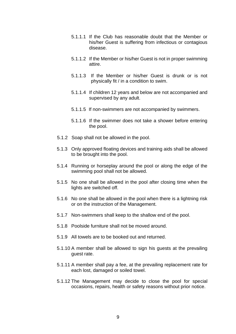- 5.1.1.1 If the Club has reasonable doubt that the Member or his/her Guest is suffering from infectious or contagious disease.
- 5.1.1.2 If the Member or his/her Guest is not in proper swimming attire.
- 5.1.1.3 If the Member or his/her Guest is drunk or is not physically fit / in a condition to swim.
- 5.1.1.4 If children 12 years and below are not accompanied and supervised by any adult.
- 5.1.1.5 If non-swimmers are not accompanied by swimmers.
- 5.1.1.6 If the swimmer does not take a shower before entering the pool.
- 5.1.2 Soap shall not be allowed in the pool.
- 5.1.3 Only approved floating devices and training aids shall be allowed to be brought into the pool.
- 5.1.4 Running or horseplay around the pool or along the edge of the swimming pool shall not be allowed.
- 5.1.5 No one shall be allowed in the pool after closing time when the lights are switched off.
- 5.1.6 No one shall be allowed in the pool when there is a lightning risk or on the instruction of the Management.
- 5.1.7 Non-swimmers shall keep to the shallow end of the pool.
- 5.1.8 Poolside furniture shall not be moved around.
- 5.1.9 All towels are to be booked out and returned.
- 5.1.10 A member shall be allowed to sign his guests at the prevailing guest rate.
- 5.1.11 A member shall pay a fee, at the prevailing replacement rate for each lost, damaged or soiled towel.
- 5.1.12 The Management may decide to close the pool for special occasions, repairs, health or safety reasons without prior notice.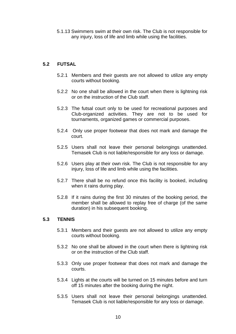5.1.13 Swimmers swim at their own risk. The Club is not responsible for any injury, loss of life and limb while using the facilities.

# **5.2 FUTSAL**

- 5.2.1 Members and their guests are not allowed to utilize any empty courts without booking.
- 5.2.2 No one shall be allowed in the court when there is lightning risk or on the instruction of the Club staff.
- 5.2.3 The futsal court only to be used for recreational purposes and Club-organized activities. They are not to be used for tournaments, organized games or commercial purposes.
- 5.2.4 Only use proper footwear that does not mark and damage the court.
- 5.2.5 Users shall not leave their personal belongings unattended. Temasek Club is not liable/responsible for any loss or damage.
- 5.2.6 Users play at their own risk. The Club is not responsible for any injury, loss of life and limb while using the facilities.
- 5.2.7 There shall be no refund once this facility is booked, including when it rains during play.
- 5.2.8 If it rains during the first 30 minutes of the booking period, the member shall be allowed to replay free of charge (of the same duration) in his subsequent booking.

#### **5.3 TENNIS**

- 5.3.1 Members and their guests are not allowed to utilize any empty courts without booking.
- 5.3.2 No one shall be allowed in the court when there is lightning risk or on the instruction of the Club staff.
- 5.3.3 Only use proper footwear that does not mark and damage the courts.
- 5.3.4 Lights at the courts will be turned on 15 minutes before and turn off 15 minutes after the booking during the night.
- 5.3.5 Users shall not leave their personal belongings unattended. Temasek Club is not liable/responsible for any loss or damage.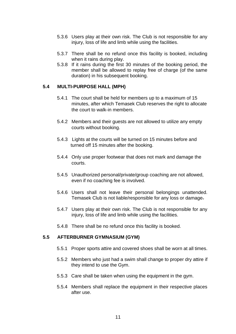- 5.3.6 Users play at their own risk. The Club is not responsible for any injury, loss of life and limb while using the facilities.
- 5.3.7 There shall be no refund once this facility is booked, including when it rains during play.
- 5.3.8 If it rains during the first 30 minutes of the booking period, the member shall be allowed to replay free of charge (of the same duration) in his subsequent booking.

#### **5.4 MULTI-PURPOSE HALL (MPH)**

- 5.4.1 The court shall be held for members up to a maximum of 15 minutes, after which Temasek Club reserves the right to allocate the court to walk-in members.
- 5.4.2 Members and their guests are not allowed to utilize any empty courts without booking.
- 5.4.3 Lights at the courts will be turned on 15 minutes before and turned off 15 minutes after the booking.
- 5.4.4 Only use proper footwear that does not mark and damage the courts.
- 5.4.5 Unauthorized personal/private/group coaching are not allowed, even if no coaching fee is involved.
- 5.4.6 Users shall not leave their personal belongings unattended. Temasek Club is not liable/responsible for any loss or damage.
- 5.4.7 Users play at their own risk. The Club is not responsible for any injury, loss of life and limb while using the facilities.
- 5.4.8 There shall be no refund once this facility is booked.

#### **5.5 AFTERBURNER GYMNASIUM (GYM)**

- 5.5.1 Proper sports attire and covered shoes shall be worn at all times.
- 5.5.2 Members who just had a swim shall change to proper dry attire if they intend to use the Gym.
- 5.5.3 Care shall be taken when using the equipment in the gym.
- 5.5.4 Members shall replace the equipment in their respective places after use.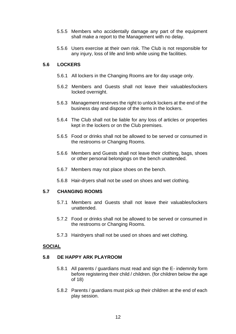- 5.5.5 Members who accidentally damage any part of the equipment shall make a report to the Management with no delay.
- 5.5.6 Users exercise at their own risk. The Club is not responsible for any injury, loss of life and limb while using the facilities.

#### **5.6 LOCKERS**

- 5.6.1 All lockers in the Changing Rooms are for day usage only.
- 5.6.2 Members and Guests shall not leave their valuables/lockers locked overnight.
- 5.6.3 Management reserves the right to unlock lockers at the end of the business day and dispose of the items in the lockers.
- 5.6.4 The Club shall not be liable for any loss of articles or properties kept in the lockers or on the Club premises.
- 5.6.5 Food or drinks shall not be allowed to be served or consumed in the restrooms or Changing Rooms.
- 5.6.6 Members and Guests shall not leave their clothing, bags, shoes or other personal belongings on the bench unattended.
- 5.6.7 Members may not place shoes on the bench.
- 5.6.8 Hair-dryers shall not be used on shoes and wet clothing.

#### **5.7 CHANGING ROOMS**

- 5.7.1 Members and Guests shall not leave their valuables/lockers unattended.
- 5.7.2 Food or drinks shall not be allowed to be served or consumed in the restrooms or Changing Rooms.
- 5.7.3 Hairdryers shall not be used on shoes and wet clothing.

#### **SOCIAL**

#### **5.8 DE HAPPY ARK PLAYROOM**

- 5.8.1 All parents / guardians must read and sign the E- indemnity form before registering their child / children. (for children below the age of 18)
- 5.8.2 Parents / guardians must pick up their children at the end of each play session.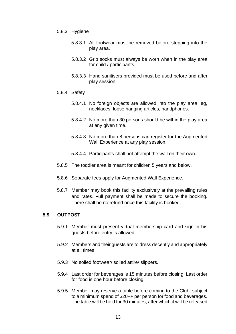- 5.8.3 Hygiene
	- 5.8.3.1 All footwear must be removed before stepping into the play area.
	- 5.8.3.2 Grip socks must always be worn when in the play area for child / participants.
	- 5.8.3.3 Hand sanitisers provided must be used before and after play session.
- 5.8.4 Safety
	- 5.8.4.1 No foreign objects are allowed into the play area, eg, necklaces, loose hanging articles, handphones.
	- 5.8.4.2 No more than 30 persons should be within the play area at any given time.
	- 5.8.4.3 No more than 8 persons can register for the Augmented Wall Experience at any play session.
	- 5.8.4.4 Participants shall not attempt the wall on their own.
- 5.8.5 The toddler area is meant for children 5 years and below.
- 5.8.6 Separate fees apply for Augmented Wall Experience.
- 5.8.7 Member may book this facility exclusively at the prevailing rules and rates. Full payment shall be made to secure the booking. There shall be no refund once this facility is booked.

#### **5.9 OUTPOST**

- 5.9.1 Member must present virtual membership card and sign in his guests before entry is allowed.
- 5.9.2 Members and their guests are to dress decently and appropriately at all times.
- 5.9.3 No soiled footwear/ soiled attire/ slippers.
- 5.9.4 Last order for beverages is 15 minutes before closing. Last order for food is one hour before closing.
- 5.9.5 Member may reserve a table before coming to the Club, subject to a minimum spend of \$20++ per person for food and beverages. The table will be held for 30 minutes, after which it will be released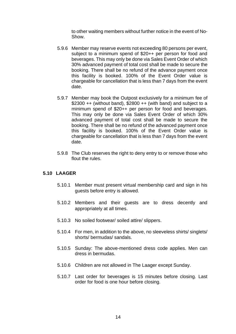to other waiting members without further notice in the event of No-Show.

- 5.9.6 Member may reserve events not exceeding 80 persons per event, subject to a minimum spend of \$20++ per person for food and beverages. This may only be done via Sales Event Order of which 30% advanced payment of total cost shall be made to secure the booking. There shall be no refund of the advance payment once this facility is booked. 100% of the Event Order value is chargeable for cancellation that is less than 7 days from the event date.
- 5.9.7 Member may book the Outpost exclusively for a minimum fee of \$2300  $++$  (without band), \$2800  $++$  (with band) and subject to a minimum spend of \$20++ per person for food and beverages. This may only be done via Sales Event Order of which 30% advanced payment of total cost shall be made to secure the booking. There shall be no refund of the advanced payment once this facility is booked. 100% of the Event Order value is chargeable for cancellation that is less than 7 days from the event date.
- 5.9.8 The Club reserves the right to deny entry to or remove those who flout the rules.

#### **5.10 LAAGER**

- 5.10.1 Member must present virtual membership card and sign in his guests before entry is allowed.
- 5.10.2 Members and their guests are to dress decently and appropriately at all times.
- 5.10.3 No soiled footwear/ soiled attire/ slippers.
- 5.10.4 For men, in addition to the above, no sleeveless shirts/ singlets/ shorts/ bermudas/ sandals.
- 5.10.5 Sunday: The above-mentioned dress code applies. Men can dress in bermudas.
- 5.10.6 Children are not allowed in The Laager except Sunday.
- 5.10.7 Last order for beverages is 15 minutes before closing. Last order for food is one hour before closing.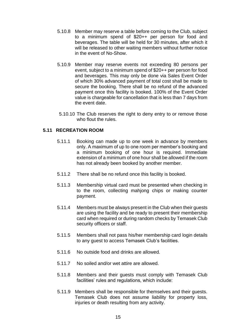- 5.10.8 Member may reserve a table before coming to the Club, subject to a minimum spend of \$20++ per person for food and beverages. The table will be held for 30 minutes, after which it will be released to other waiting members without further notice in the event of No-Show.
- 5.10.9 Member may reserve events not exceeding 80 persons per event, subject to a minimum spend of \$20++ per person for food and beverages. This may only be done via Sales Event Order of which 30% advanced payment of total cost shall be made to secure the booking. There shall be no refund of the advanced payment once this facility is booked. 100% of the Event Order value is chargeable for cancellation that is less than 7 days from the event date.
- 5.10.10 The Club reserves the right to deny entry to or remove those who flout the rules.

## **5.11 RECREATION ROOM**

- 5.11.1 Booking can made up to one week in advance by members only. A maximum of up to one room per member's booking and a minimum booking of one hour is required. Immediate extension of a minimum of one hour shall be allowed if the room has not already been booked by another member.
- 5.11.2 There shall be no refund once this facility is booked.
- 5.11.3 Membership virtual card must be presented when checking in to the room, collecting mahjong chips or making counter payment.
- 5.11.4 Members must be always present in the Club when their guests are using the facility and be ready to present their membership card when required or during random checks by Temasek Club security officers or staff.
- 5.11.5 Members shall not pass his/her membership card login details to any guest to access Temasek Club's facilities.
- 5.11.6 No outside food and drinks are allowed.
- 5.11.7 No soiled and/or wet attire are allowed.
- 5.11.8 Members and their guests must comply with Temasek Club facilities' rules and regulations, which include:
- 5.11.9 Members shall be responsible for themselves and their guests. Temasek Club does not assume liability for property loss, injuries or death resulting from any activity.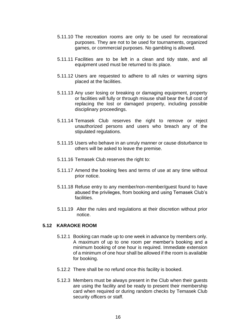- 5.11.10 The recreation rooms are only to be used for recreational purposes. They are not to be used for tournaments, organized games, or commercial purposes. No gambling is allowed.
- 5.11.11 Facilities are to be left in a clean and tidy state, and all equipment used must be returned to its place.
- 5.11.12 Users are requested to adhere to all rules or warning signs placed at the facilities.
- 5.11.13 Any user losing or breaking or damaging equipment, property or facilities will fully or through misuse shall bear the full cost of replacing the lost or damaged property, including possible disciplinary proceedings.
- 5.11.14 Temasek Club reserves the right to remove or reject unauthorized persons and users who breach any of the stipulated regulations.
- 5.11.15 Users who behave in an unruly manner or cause disturbance to others will be asked to leave the premise.
- 5.11.16 Temasek Club reserves the right to:
- 5.11.17 Amend the booking fees and terms of use at any time without prior notice.
- 5.11.18 Refuse entry to any member/non-member/guest found to have abused the privileges, from booking and using Temasek Club's facilities.
- 5.11.19 Alter the rules and regulations at their discretion without prior notice.

#### **5.12 KARAOKE ROOM**

- 5.12.1 Booking can made up to one week in advance by members only. A maximum of up to one room per member's booking and a minimum booking of one hour is required. Immediate extension of a minimum of one hour shall be allowed if the room is available for booking.
- 5.12.2 There shall be no refund once this facility is booked.
- 5.12.3 Members must be always present in the Club when their guests are using the facility and be ready to present their membership card when required or during random checks by Temasek Club security officers or staff.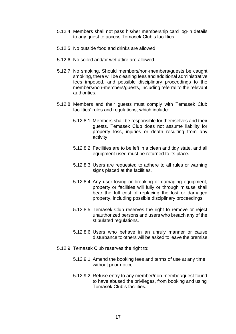- 5.12.4 Members shall not pass his/her membership card log-in details to any guest to access Temasek Club's facilities.
- 5.12.5 No outside food and drinks are allowed.
- 5.12.6 No soiled and/or wet attire are allowed.
- 5.12.7 No smoking. Should members/non-members/guests be caught smoking, there will be cleaning fees and additional administrative fees imposed, and possible disciplinary proceedings to the members/non-members/guests, including referral to the relevant authorities.
- 5.12.8 Members and their guests must comply with Temasek Club facilities' rules and regulations, which include:
	- 5.12.8.1 Members shall be responsible for themselves and their guests. Temasek Club does not assume liability for property loss, injuries or death resulting from any activity.
	- 5.12.8.2 Facilities are to be left in a clean and tidy state, and all equipment used must be returned to its place.
	- 5.12.8.3 Users are requested to adhere to all rules or warning signs placed at the facilities.
	- 5.12.8.4 Any user losing or breaking or damaging equipment, property or facilities will fully or through misuse shall bear the full cost of replacing the lost or damaged property, including possible disciplinary proceedings.
	- 5.12.8.5 Temasek Club reserves the right to remove or reject unauthorized persons and users who breach any of the stipulated regulations.
	- 5.12.8.6 Users who behave in an unruly manner or cause disturbance to others will be asked to leave the premise.
- 5.12.9 Temasek Club reserves the right to:
	- 5.12.9.1 Amend the booking fees and terms of use at any time without prior notice.
	- 5.12.9.2 Refuse entry to any member/non-member/guest found to have abused the privileges, from booking and using Temasek Club's facilities.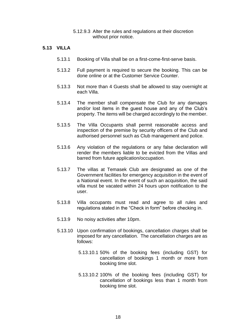5.12.9.3 Alter the rules and regulations at their discretion without prior notice.

#### **5.13 VILLA**

- 5.13.1 Booking of Villa shall be on a first-come-first-serve basis.
- 5.13.2 Full payment is required to secure the booking. This can be done online or at the Customer Service Counter.
- 5.13.3 Not more than 4 Guests shall be allowed to stay overnight at each Villa.
- 5.13.4 The member shall compensate the Club for any damages and/or lost items in the guest house and any of the Club's property. The items will be charged accordingly to the member.
- 5.13.5 The Villa Occupants shall permit reasonable access and inspection of the premise by security officers of the Club and authorised personnel such as Club management and police.
- 5.13.6 Any violation of the regulations or any false declaration will render the members liable to be evicted from the Villas and barred from future application/occupation.
- 5.13.7 The villas at Temasek Club are designated as one of the Government facilities for emergency acquisition in the event of a National event. In the event of such an acquisition, the said villa must be vacated within 24 hours upon notification to the user.
- 5.13.8 Villa occupants must read and agree to all rules and regulations stated in the "Check in form" before checking in.
- 5.13.9 No noisy activities after 10pm.
- 5.13.10 Upon confirmation of bookings, cancellation charges shall be imposed for any cancellation. The cancellation charges are as follows:
	- 5.13.10.1 50% of the booking fees (including GST) for cancellation of bookings 1 month or more from booking time slot.
	- 5.13.10.2 100% of the booking fees (including GST) for cancellation of bookings less than 1 month from booking time slot.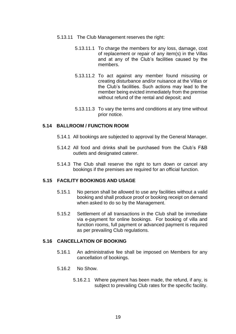- 5.13.11 The Club Management reserves the right:
	- 5.13.11.1 To charge the members for any loss, damage, cost of replacement or repair of any item(s) in the Villas and at any of the Club's facilities caused by the members.
	- 5.13.11.2 To act against any member found misusing or creating disturbance and/or nuisance at the Villas or the Club's facilities. Such actions may lead to the member being evicted immediately from the premise without refund of the rental and deposit; and
	- 5.13.11.3 To vary the terms and conditions at any time without prior notice.

#### **5.14 BALLROOM / FUNCTION ROOM**

- 5.14.1 All bookings are subjected to approval by the General Manager.
- 5.14.2 All food and drinks shall be purchased from the Club's F&B outlets and designated caterer.
- 5.14.3 The Club shall reserve the right to turn down or cancel any bookings if the premises are required for an official function.

#### **5.15 FACILITY BOOKINGS AND USAGE**

- 5.15.1 No person shall be allowed to use any facilities without a valid booking and shall produce proof or booking receipt on demand when asked to do so by the Management.
- 5.15.2 Settlement of all transactions in the Club shall be immediate via e-payment for online bookings. For booking of villa and function rooms, full payment or advanced payment is required as per prevailing Club regulations.

#### **5.16 CANCELLATION OF BOOKING**

- 5.16.1 An administrative fee shall be imposed on Members for any cancellation of bookings.
- 5.16.2 No Show.
	- 5.16.2.1 Where payment has been made, the refund, if any, is subject to prevailing Club rates for the specific facility.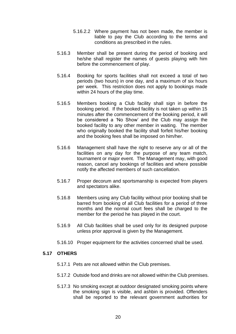- 5.16.2.2 Where payment has not been made, the member is liable to pay the Club according to the terms and conditions as prescribed in the rules.
- 5.16.3 Member shall be present during the period of booking and he/she shall register the names of guests playing with him before the commencement of play.
- 5.16.4 Booking for sports facilities shall not exceed a total of two periods (two hours) in one day, and a maximum of six hours per week. This restriction does not apply to bookings made within 24 hours of the play time.
- 5.16.5 Members booking a Club facility shall sign in before the booking period. If the booked facility is not taken up within 15 minutes after the commencement of the booking period, it will be considered a 'No Show' and the Club may assign the booked facility to any other member in waiting. The member who originally booked the facility shall forfeit his/her booking and the booking fees shall be imposed on him/her.
- 5.16.6 Management shall have the right to reserve any or all of the facilities on any day for the purpose of any team match, tournament or major event. The Management may, with good reason, cancel any bookings of facilities and where possible notify the affected members of such cancellation.
- 5.16.7 Proper decorum and sportsmanship is expected from players and spectators alike.
- 5.16.8 Members using any Club facility without prior booking shall be barred from booking of all Club facilities for a period of three months and the normal court fees shall be charged to the member for the period he has played in the court.
- 5.16.9 All Club facilities shall be used only for its designed purpose unless prior approval is given by the Management.
- 5.16.10 Proper equipment for the activities concerned shall be used.

#### **5.17 OTHERS**

- 5.17.1 Pets are not allowed within the Club premises.
- 5.17.2 Outside food and drinks are not allowed within the Club premises.
- 5.17.3 No smoking except at outdoor designated smoking points where the smoking sign is visible, and ashbin is provided. Offenders shall be reported to the relevant government authorities for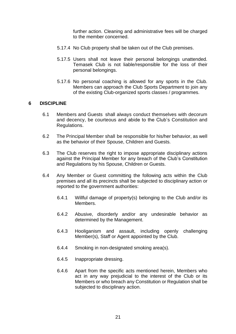further action. Cleaning and administrative fees will be charged to the member concerned.

- 5.17.4 No Club property shall be taken out of the Club premises.
- 5.17.5 Users shall not leave their personal belongings unattended. Temasek Club is not liable/responsible for the loss of their personal belongings.
- 5.17.6 No personal coaching is allowed for any sports in the Club. Members can approach the Club Sports Department to join any of the existing Club-organized sports classes / programmes.

#### **6 DISCIPLINE**

- 6.1 Members and Guests shall always conduct themselves with decorum and decency, be courteous and abide to the Club's Constitution and Regulations.
- 6.2 The Principal Member shall be responsible for his/her behavior, as well as the behavior of their Spouse, Children and Guests.
- 6.3 The Club reserves the right to impose appropriate disciplinary actions against the Principal Member for any breach of the Club's Constitution and Regulations by his Spouse, Children or Guests.
- 6.4 Any Member or Guest committing the following acts within the Club premises and all its precincts shall be subjected to disciplinary action or reported to the government authorities:
	- 6.4.1 Willful damage of property(s) belonging to the Club and/or its Members.
	- 6.4.2 Abusive, disorderly and/or any undesirable behavior as determined by the Management.
	- 6.4.3 Hooliganism and assault, including openly challenging Member(s), Staff or Agent appointed by the Club.
	- 6.4.4 Smoking in non-designated smoking area(s).
	- 6.4.5 Inappropriate dressing.
	- 6.4.6 Apart from the specific acts mentioned herein, Members who act in any way prejudicial to the interest of the Club or its Members or who breach any Constitution or Regulation shall be subjected to disciplinary action.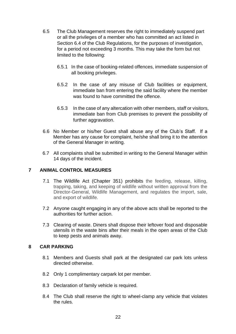- 6.5 The Club Management reserves the right to immediately suspend part or all the privileges of a member who has committed an act listed in Section 6.4 of the Club Regulations, for the purposes of investigation, for a period not exceeding 3 months. This may take the form but not limited to the following:
	- 6.5.1 In the case of booking-related offences, immediate suspension of all booking privileges.
	- 6.5.2 In the case of any misuse of Club facilities or equipment, immediate ban from entering the said facility where the member was found to have committed the offence.
	- 6.5.3 In the case of any altercation with other members, staff or visitors, immediate ban from Club premises to prevent the possibility of further aggravation.
- 6.6 No Member or his/her Guest shall abuse any of the Club's Staff. If a Member has any cause for complaint, he/she shall bring it to the attention of the General Manager in writing.
- 6.7 All complaints shall be submitted in writing to the General Manager within 14 days of the incident.

# **7 ANIMAL CONTROL MEASURES**

- 7.1 The Wildlife Act (Chapter 351) prohibits the feeding, release, killing, trapping, taking, and keeping of wildlife without written approval from the Director-General, Wildlife Management, and regulates the import, sale, and export of wildlife.
- 7.2 Anyone caught engaging in any of the above acts shall be reported to the authorities for further action.
- 7.3 Clearing of waste. Diners shall dispose their leftover food and disposable utensils in the waste bins after their meals in the open areas of the Club to keep pests and animals away.

# **8 CAR PARKING**

- 8.1 Members and Guests shall park at the designated car park lots unless directed otherwise.
- 8.2 Only 1 complimentary carpark lot per member.
- 8.3 Declaration of family vehicle is required.
- 8.4 The Club shall reserve the right to wheel-clamp any vehicle that violates the rules.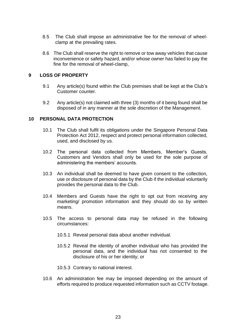- 8.5 The Club shall impose an administrative fee for the removal of wheelclamp at the prevailing rates.
- 8.6 The Club shall reserve the right to remove or tow away vehicles that cause inconvenience or safety hazard, and/or whose owner has failed to pay the fine for the removal of wheel-clamp,

## **9 LOSS OF PROPERTY**

- 9.1 Any article(s) found within the Club premises shall be kept at the Club's Customer counter.
- 9.2 Any article(s) not claimed with three (3) months of it being found shall be disposed of in any manner at the sole discretion of the Management.

#### **10 PERSONAL DATA PROTECTION**

- 10.1 The Club shall fulfil its obligations under the Singapore Personal Data Protection Act 2012, respect and protect personal information collected, used, and disclosed by us.
- 10.2 The personal data collected from Members, Member's Guests, Customers and Vendors shall only be used for the sole purpose of administering the members' accounts.
- 10.3 An individual shall be deemed to have given consent to the collection, use or disclosure of personal data by the Club if the individual voluntarily provides the personal data to the Club.
- 10.4 Members and Guests have the right to opt out from receiving any marketing/ promotion information and they should do so by written means.
- 10.5 The access to personal data may be refused in the following circumstances:
	- 10.5.1 Reveal personal data about another individual.
	- 10.5.2 Reveal the identity of another individual who has provided the personal data, and the individual has not consented to the disclosure of his or her identity; or
	- 10.5.3 Contrary to national interest.
- 10.6 An administration fee may be imposed depending on the amount of efforts required to produce requested information such as CCTV footage.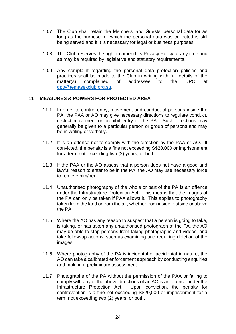- 10.7 The Club shall retain the Members' and Guests' personal data for as long as the purpose for which the personal data was collected is still being served and if it is necessary for legal or business purposes.
- 10.8 The Club reserves the right to amend its Privacy Policy at any time and as may be required by legislative and statutory requirements.
- 10.9 Any complaint regarding the personal data protection policies and practices shall be made to the Club in writing with full details of the matter(s) complained of addressee to the DPO at [dpo@temasekclub.org.sg.](mailto:dpo@temasekclub.org.sg)

#### **11 MEASURES & POWERS FOR PROTECTED AREA**

- 11.1 In order to control entry, movement and conduct of persons inside the PA, the PAA or AO may give necessary directions to regulate conduct, restrict movement or prohibit entry to the PA. Such directions may generally be given to a particular person or group of persons and may be in writing or verbally.
- 11.2 It is an offence not to comply with the direction by the PAA or AO. If convicted, the penalty is a fine not exceeding S\$20,000 or imprisonment for a term not exceeding two (2) years, or both.
- 11.3 If the PAA or the AO assess that a person does not have a good and lawful reason to enter to be in the PA, the AO may use necessary force to remove him/her.
- 11.4 Unauthorised photography of the whole or part of the PA is an offence under the Infrastructure Protection Act. This means that the images of the PA can only be taken if PAA allows it. This applies to photography taken from the land or from the air, whether from inside, outside or above the PA.
- 11.5 Where the AO has any reason to suspect that a person is going to take, is taking, or has taken any unauthorised photograph of the PA, the AO may be able to stop persons from taking photographs and videos, and take follow-up actions, such as examining and requiring deletion of the images.
- 11.6 Where photography of the PA is incidental or accidental in nature, the AO can take a calibrated enforcement approach by conducting enquiries and making a preliminary assessment.
- 11.7 Photographs of the PA without the permission of the PAA or failing to comply with any of the above directions of an AO is an offence under the Infrastructure Protection Act. Upon conviction, the penalty for contravention is a fine not exceeding S\$20,000 or imprisonment for a term not exceeding two (2) years, or both.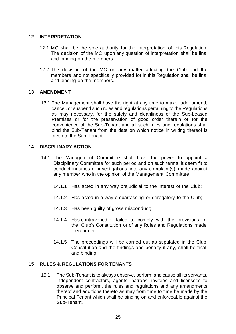#### **12 INTERPRETATION**

- 12.1 MC shall be the sole authority for the interpretation of this Regulation. The decision of the MC upon any question of interpretation shall be final and binding on the members.
- 12.2 The decision of the MC on any matter affecting the Club and the members and not specifically provided for in this Regulation shall be final and binding on the members.

#### **13 AMENDMENT**

13.1 The Management shall have the right at any time to make, add, amend, cancel, or suspend such rules and regulations pertaining to the Regulations as may necessary, for the safety and cleanliness of the Sub-Leased Premises or for the preservation of good order therein or for the convenience of the Sub-Tenant and all such rules and regulations shall bind the Sub-Tenant from the date on which notice in writing thereof is given to the Sub-Tenant.

## **14 DISCPLINARY ACTION**

- 14.1 The Management Committee shall have the power to appoint a Disciplinary Committee for such period and on such terms, it deem fit to conduct inquiries or investigations into any complaint(s) made against any member who in the opinion of the Management Committee:
	- 14.1.1 Has acted in any way prejudicial to the interest of the Club;
	- 14.1.2 Has acted in a way embarrassing or derogatory to the Club;
	- 14.1.3 Has been guilty of gross misconduct;
	- 14.1.4 Has contravened or failed to comply with the provisions of the Club's Constitution or of any Rules and Regulations made thereunder.
	- 14.1.5 The proceedings will be carried out as stipulated in the Club Constitution and the findings and penalty if any, shall be final and binding.

#### **15 RULES & REGULATIONS FOR TENANTS**

15.1 The Sub-Tenant is to always observe, perform and cause all its servants, independent contractors, agents, patrons, invitees and licensees to observe and perform, the rules and regulations and any amendments thereof and additions thereto as may from time to time be made by the Principal Tenant which shall be binding on and enforceable against the Sub-Tenant.